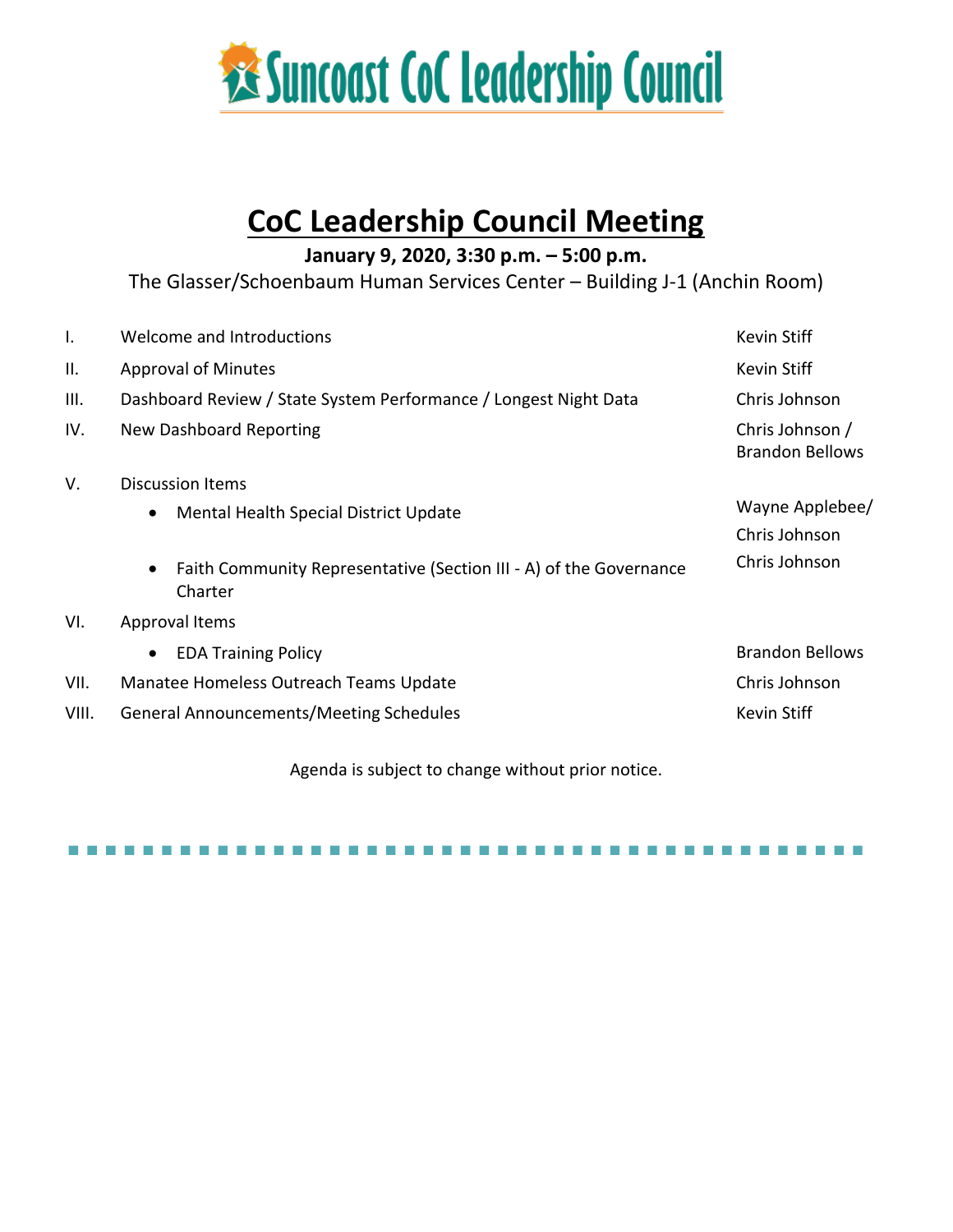

# **CoC Leadership Council Meeting**

**January 9, 2020, 3:30 p.m. – 5:00 p.m.**

The Glasser/Schoenbaum Human Services Center – Building J-1 (Anchin Room)

| Ι.    | Welcome and Introductions                                                                  | <b>Kevin Stiff</b>                        |
|-------|--------------------------------------------------------------------------------------------|-------------------------------------------|
| Ш.    | <b>Approval of Minutes</b>                                                                 | <b>Kevin Stiff</b>                        |
| III.  | Dashboard Review / State System Performance / Longest Night Data                           | Chris Johnson                             |
| IV.   | New Dashboard Reporting                                                                    | Chris Johnson /<br><b>Brandon Bellows</b> |
| V.    | <b>Discussion Items</b>                                                                    |                                           |
|       | Mental Health Special District Update<br>$\bullet$                                         | Wayne Applebee/                           |
|       |                                                                                            | Chris Johnson                             |
|       | Faith Community Representative (Section III - A) of the Governance<br>$\bullet$<br>Charter | Chris Johnson                             |
| VI.   | Approval Items                                                                             |                                           |
|       | <b>EDA Training Policy</b><br>$\bullet$                                                    | <b>Brandon Bellows</b>                    |
| VII.  | Manatee Homeless Outreach Teams Update                                                     | Chris Johnson                             |
| VIII. | <b>General Announcements/Meeting Schedules</b>                                             | <b>Kevin Stiff</b>                        |
|       |                                                                                            |                                           |

Agenda is subject to change without prior notice.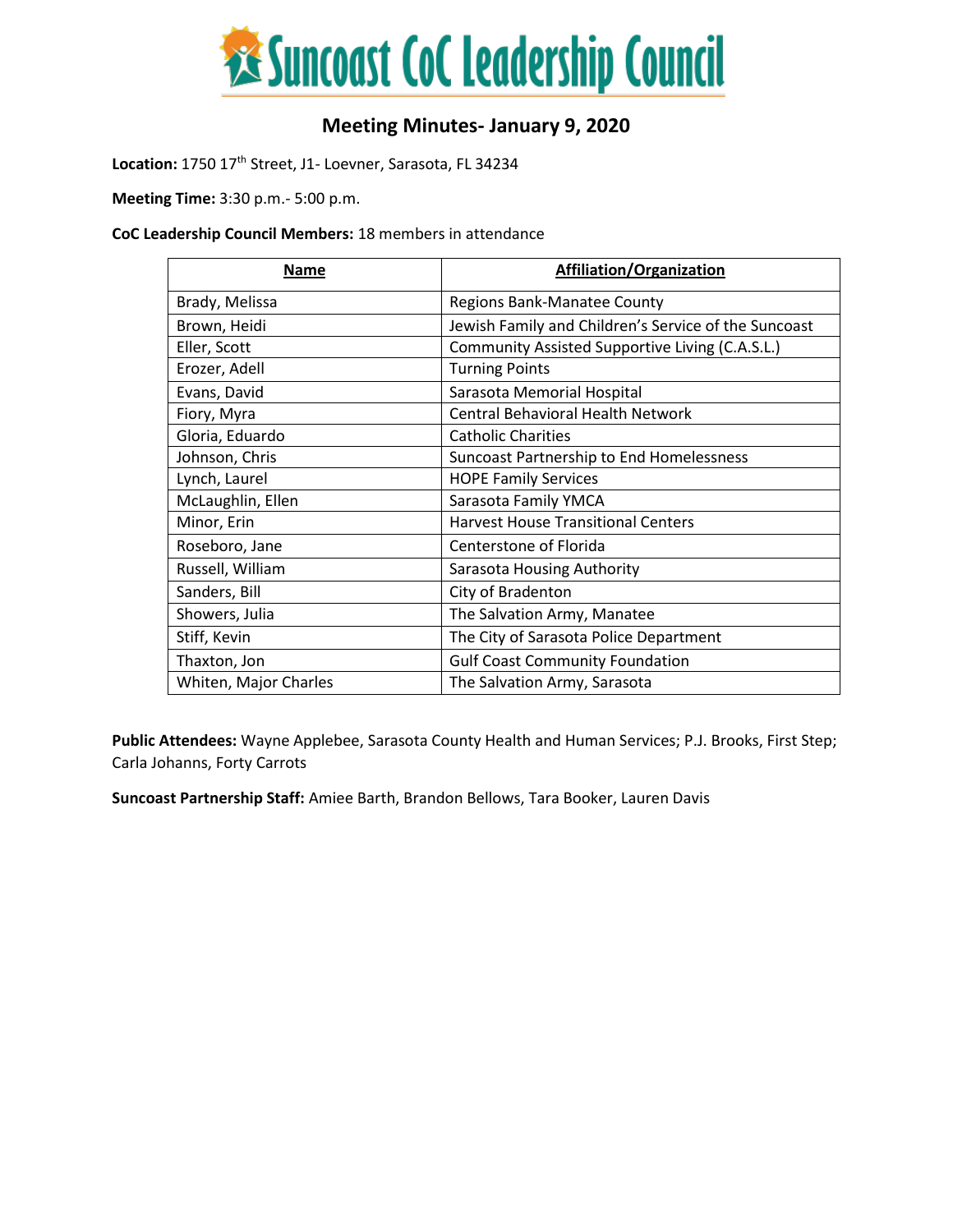

# **Meeting Minutes- January 9, 2020**

Location: 1750 17<sup>th</sup> Street, J1- Loevner, Sarasota, FL 34234

**Meeting Time:** 3:30 p.m.- 5:00 p.m.

#### **CoC Leadership Council Members:** 18 members in attendance

| Name                  | <b>Affiliation/Organization</b>                      |
|-----------------------|------------------------------------------------------|
| Brady, Melissa        | <b>Regions Bank-Manatee County</b>                   |
| Brown, Heidi          | Jewish Family and Children's Service of the Suncoast |
| Eller, Scott          | Community Assisted Supportive Living (C.A.S.L.)      |
| Erozer, Adell         | <b>Turning Points</b>                                |
| Evans, David          | Sarasota Memorial Hospital                           |
| Fiory, Myra           | <b>Central Behavioral Health Network</b>             |
| Gloria, Eduardo       | <b>Catholic Charities</b>                            |
| Johnson, Chris        | Suncoast Partnership to End Homelessness             |
| Lynch, Laurel         | <b>HOPE Family Services</b>                          |
| McLaughlin, Ellen     | Sarasota Family YMCA                                 |
| Minor, Erin           | <b>Harvest House Transitional Centers</b>            |
| Roseboro, Jane        | Centerstone of Florida                               |
| Russell, William      | Sarasota Housing Authority                           |
| Sanders, Bill         | City of Bradenton                                    |
| Showers, Julia        | The Salvation Army, Manatee                          |
| Stiff, Kevin          | The City of Sarasota Police Department               |
| Thaxton, Jon          | <b>Gulf Coast Community Foundation</b>               |
| Whiten, Major Charles | The Salvation Army, Sarasota                         |

**Public Attendees:** Wayne Applebee, Sarasota County Health and Human Services; P.J. Brooks, First Step; Carla Johanns, Forty Carrots

**Suncoast Partnership Staff:** Amiee Barth, Brandon Bellows, Tara Booker, Lauren Davis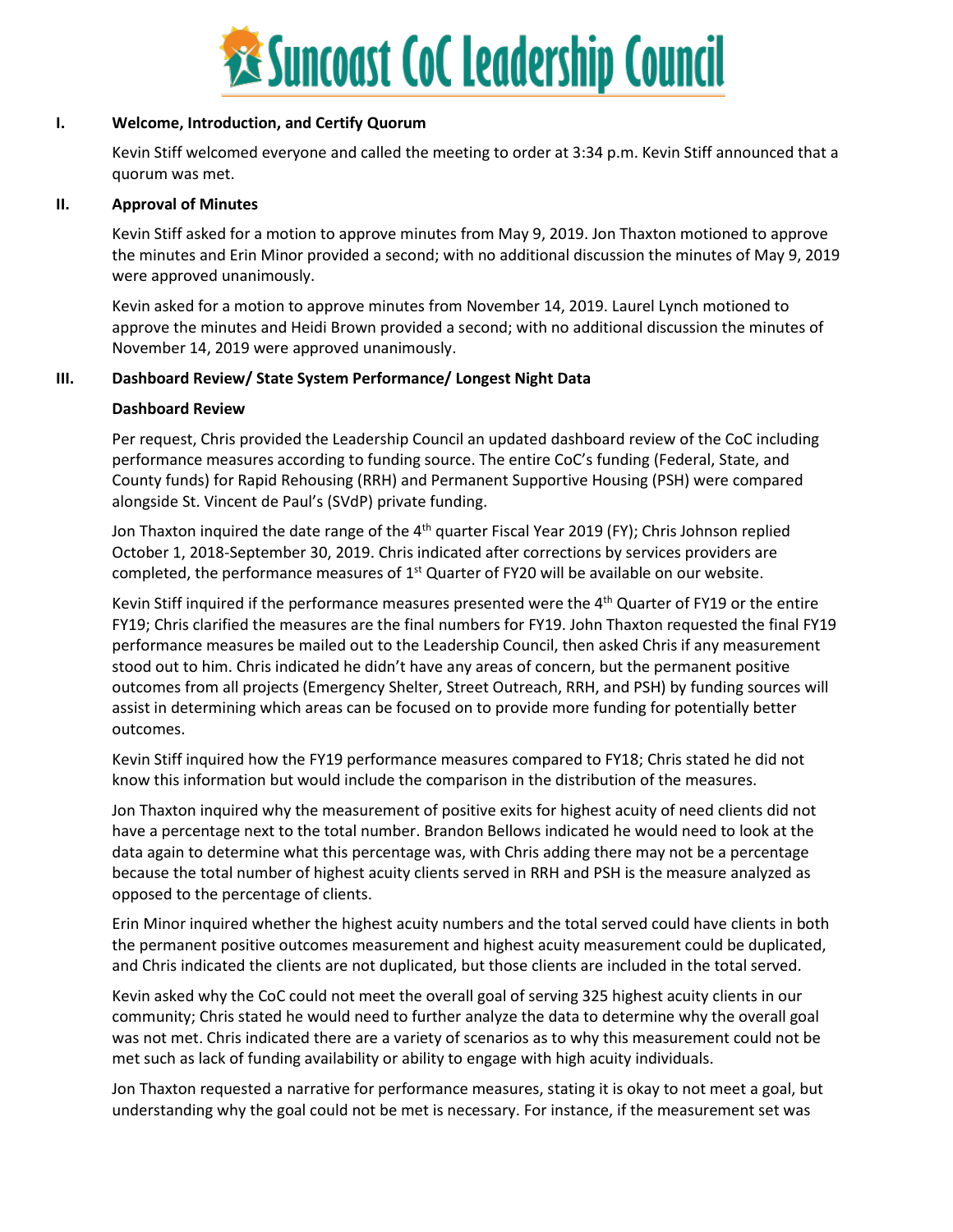

#### **I. Welcome, Introduction, and Certify Quorum**

Kevin Stiff welcomed everyone and called the meeting to order at 3:34 p.m. Kevin Stiff announced that a quorum was met.

#### **II. Approval of Minutes**

Kevin Stiff asked for a motion to approve minutes from May 9, 2019. Jon Thaxton motioned to approve the minutes and Erin Minor provided a second; with no additional discussion the minutes of May 9, 2019 were approved unanimously.

Kevin asked for a motion to approve minutes from November 14, 2019. Laurel Lynch motioned to approve the minutes and Heidi Brown provided a second; with no additional discussion the minutes of November 14, 2019 were approved unanimously.

## **III. Dashboard Review/ State System Performance/ Longest Night Data**

#### **Dashboard Review**

Per request, Chris provided the Leadership Council an updated dashboard review of the CoC including performance measures according to funding source. The entire CoC's funding (Federal, State, and County funds) for Rapid Rehousing (RRH) and Permanent Supportive Housing (PSH) were compared alongside St. Vincent de Paul's (SVdP) private funding.

Jon Thaxton inquired the date range of the 4<sup>th</sup> quarter Fiscal Year 2019 (FY); Chris Johnson replied October 1, 2018-September 30, 2019. Chris indicated after corrections by services providers are completed, the performance measures of 1<sup>st</sup> Quarter of FY20 will be available on our website.

Kevin Stiff inquired if the performance measures presented were the  $4<sup>th</sup>$  Quarter of FY19 or the entire FY19; Chris clarified the measures are the final numbers for FY19. John Thaxton requested the final FY19 performance measures be mailed out to the Leadership Council, then asked Chris if any measurement stood out to him. Chris indicated he didn't have any areas of concern, but the permanent positive outcomes from all projects (Emergency Shelter, Street Outreach, RRH, and PSH) by funding sources will assist in determining which areas can be focused on to provide more funding for potentially better outcomes.

Kevin Stiff inquired how the FY19 performance measures compared to FY18; Chris stated he did not know this information but would include the comparison in the distribution of the measures.

Jon Thaxton inquired why the measurement of positive exits for highest acuity of need clients did not have a percentage next to the total number. Brandon Bellows indicated he would need to look at the data again to determine what this percentage was, with Chris adding there may not be a percentage because the total number of highest acuity clients served in RRH and PSH is the measure analyzed as opposed to the percentage of clients.

Erin Minor inquired whether the highest acuity numbers and the total served could have clients in both the permanent positive outcomes measurement and highest acuity measurement could be duplicated, and Chris indicated the clients are not duplicated, but those clients are included in the total served.

Kevin asked why the CoC could not meet the overall goal of serving 325 highest acuity clients in our community; Chris stated he would need to further analyze the data to determine why the overall goal was not met. Chris indicated there are a variety of scenarios as to why this measurement could not be met such as lack of funding availability or ability to engage with high acuity individuals.

Jon Thaxton requested a narrative for performance measures, stating it is okay to not meet a goal, but understanding why the goal could not be met is necessary. For instance, if the measurement set was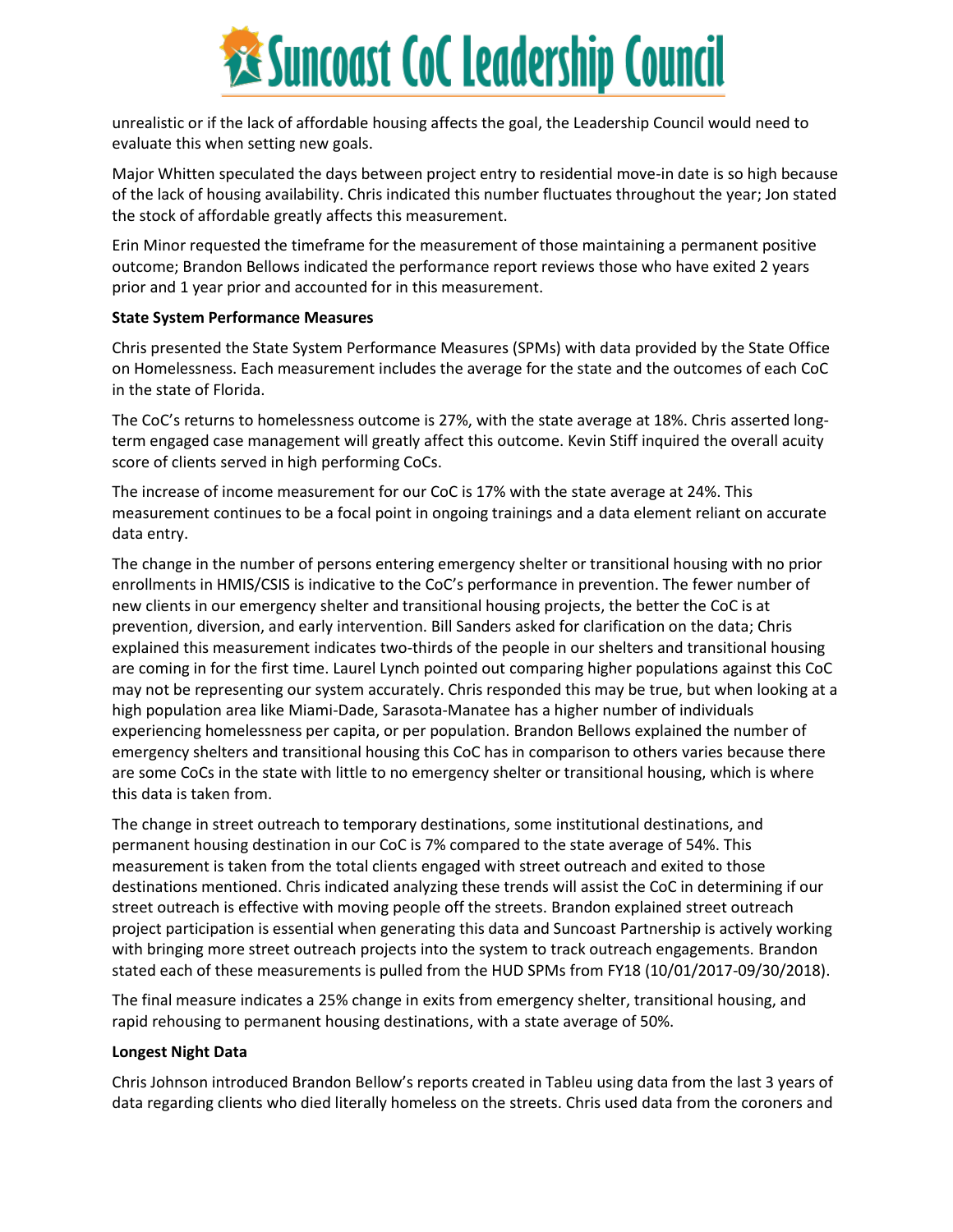

unrealistic or if the lack of affordable housing affects the goal, the Leadership Council would need to evaluate this when setting new goals.

Major Whitten speculated the days between project entry to residential move-in date is so high because of the lack of housing availability. Chris indicated this number fluctuates throughout the year; Jon stated the stock of affordable greatly affects this measurement.

Erin Minor requested the timeframe for the measurement of those maintaining a permanent positive outcome; Brandon Bellows indicated the performance report reviews those who have exited 2 years prior and 1 year prior and accounted for in this measurement.

#### **State System Performance Measures**

Chris presented the State System Performance Measures (SPMs) with data provided by the State Office on Homelessness. Each measurement includes the average for the state and the outcomes of each CoC in the state of Florida.

The CoC's returns to homelessness outcome is 27%, with the state average at 18%. Chris asserted longterm engaged case management will greatly affect this outcome. Kevin Stiff inquired the overall acuity score of clients served in high performing CoCs.

The increase of income measurement for our CoC is 17% with the state average at 24%. This measurement continues to be a focal point in ongoing trainings and a data element reliant on accurate data entry.

The change in the number of persons entering emergency shelter or transitional housing with no prior enrollments in HMIS/CSIS is indicative to the CoC's performance in prevention. The fewer number of new clients in our emergency shelter and transitional housing projects, the better the CoC is at prevention, diversion, and early intervention. Bill Sanders asked for clarification on the data; Chris explained this measurement indicates two-thirds of the people in our shelters and transitional housing are coming in for the first time. Laurel Lynch pointed out comparing higher populations against this CoC may not be representing our system accurately. Chris responded this may be true, but when looking at a high population area like Miami-Dade, Sarasota-Manatee has a higher number of individuals experiencing homelessness per capita, or per population. Brandon Bellows explained the number of emergency shelters and transitional housing this CoC has in comparison to others varies because there are some CoCs in the state with little to no emergency shelter or transitional housing, which is where this data is taken from.

The change in street outreach to temporary destinations, some institutional destinations, and permanent housing destination in our CoC is 7% compared to the state average of 54%. This measurement is taken from the total clients engaged with street outreach and exited to those destinations mentioned. Chris indicated analyzing these trends will assist the CoC in determining if our street outreach is effective with moving people off the streets. Brandon explained street outreach project participation is essential when generating this data and Suncoast Partnership is actively working with bringing more street outreach projects into the system to track outreach engagements. Brandon stated each of these measurements is pulled from the HUD SPMs from FY18 (10/01/2017-09/30/2018).

The final measure indicates a 25% change in exits from emergency shelter, transitional housing, and rapid rehousing to permanent housing destinations, with a state average of 50%.

#### **Longest Night Data**

Chris Johnson introduced Brandon Bellow's reports created in Tableu using data from the last 3 years of data regarding clients who died literally homeless on the streets. Chris used data from the coroners and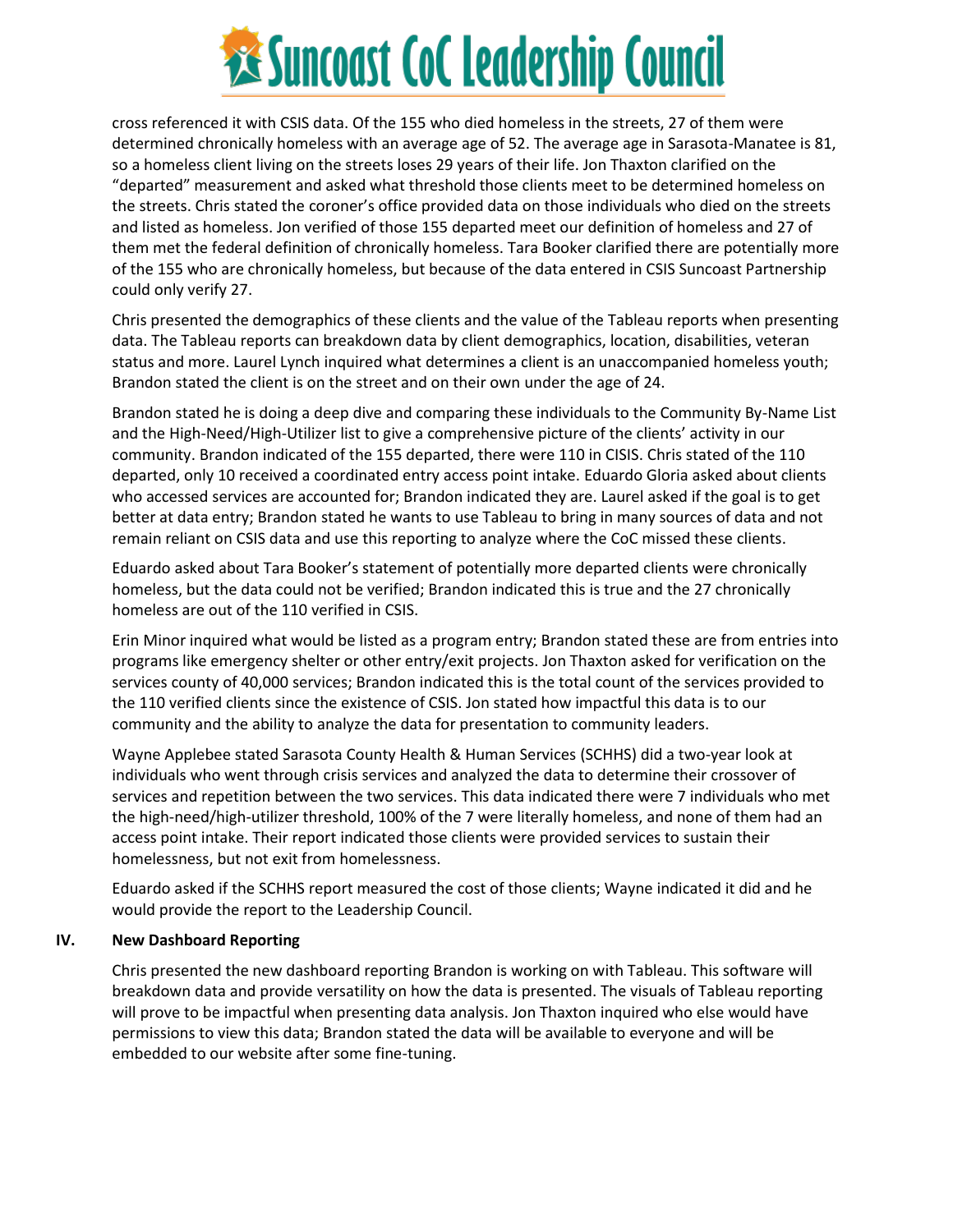

cross referenced it with CSIS data. Of the 155 who died homeless in the streets, 27 of them were determined chronically homeless with an average age of 52. The average age in Sarasota-Manatee is 81, so a homeless client living on the streets loses 29 years of their life. Jon Thaxton clarified on the "departed" measurement and asked what threshold those clients meet to be determined homeless on the streets. Chris stated the coroner's office provided data on those individuals who died on the streets and listed as homeless. Jon verified of those 155 departed meet our definition of homeless and 27 of them met the federal definition of chronically homeless. Tara Booker clarified there are potentially more of the 155 who are chronically homeless, but because of the data entered in CSIS Suncoast Partnership could only verify 27.

Chris presented the demographics of these clients and the value of the Tableau reports when presenting data. The Tableau reports can breakdown data by client demographics, location, disabilities, veteran status and more. Laurel Lynch inquired what determines a client is an unaccompanied homeless youth; Brandon stated the client is on the street and on their own under the age of 24.

Brandon stated he is doing a deep dive and comparing these individuals to the Community By-Name List and the High-Need/High-Utilizer list to give a comprehensive picture of the clients' activity in our community. Brandon indicated of the 155 departed, there were 110 in CISIS. Chris stated of the 110 departed, only 10 received a coordinated entry access point intake. Eduardo Gloria asked about clients who accessed services are accounted for; Brandon indicated they are. Laurel asked if the goal is to get better at data entry; Brandon stated he wants to use Tableau to bring in many sources of data and not remain reliant on CSIS data and use this reporting to analyze where the CoC missed these clients.

Eduardo asked about Tara Booker's statement of potentially more departed clients were chronically homeless, but the data could not be verified; Brandon indicated this is true and the 27 chronically homeless are out of the 110 verified in CSIS.

Erin Minor inquired what would be listed as a program entry; Brandon stated these are from entries into programs like emergency shelter or other entry/exit projects. Jon Thaxton asked for verification on the services county of 40,000 services; Brandon indicated this is the total count of the services provided to the 110 verified clients since the existence of CSIS. Jon stated how impactful this data is to our community and the ability to analyze the data for presentation to community leaders.

Wayne Applebee stated Sarasota County Health & Human Services (SCHHS) did a two-year look at individuals who went through crisis services and analyzed the data to determine their crossover of services and repetition between the two services. This data indicated there were 7 individuals who met the high-need/high-utilizer threshold, 100% of the 7 were literally homeless, and none of them had an access point intake. Their report indicated those clients were provided services to sustain their homelessness, but not exit from homelessness.

Eduardo asked if the SCHHS report measured the cost of those clients; Wayne indicated it did and he would provide the report to the Leadership Council.

#### **IV. New Dashboard Reporting**

Chris presented the new dashboard reporting Brandon is working on with Tableau. This software will breakdown data and provide versatility on how the data is presented. The visuals of Tableau reporting will prove to be impactful when presenting data analysis. Jon Thaxton inquired who else would have permissions to view this data; Brandon stated the data will be available to everyone and will be embedded to our website after some fine-tuning.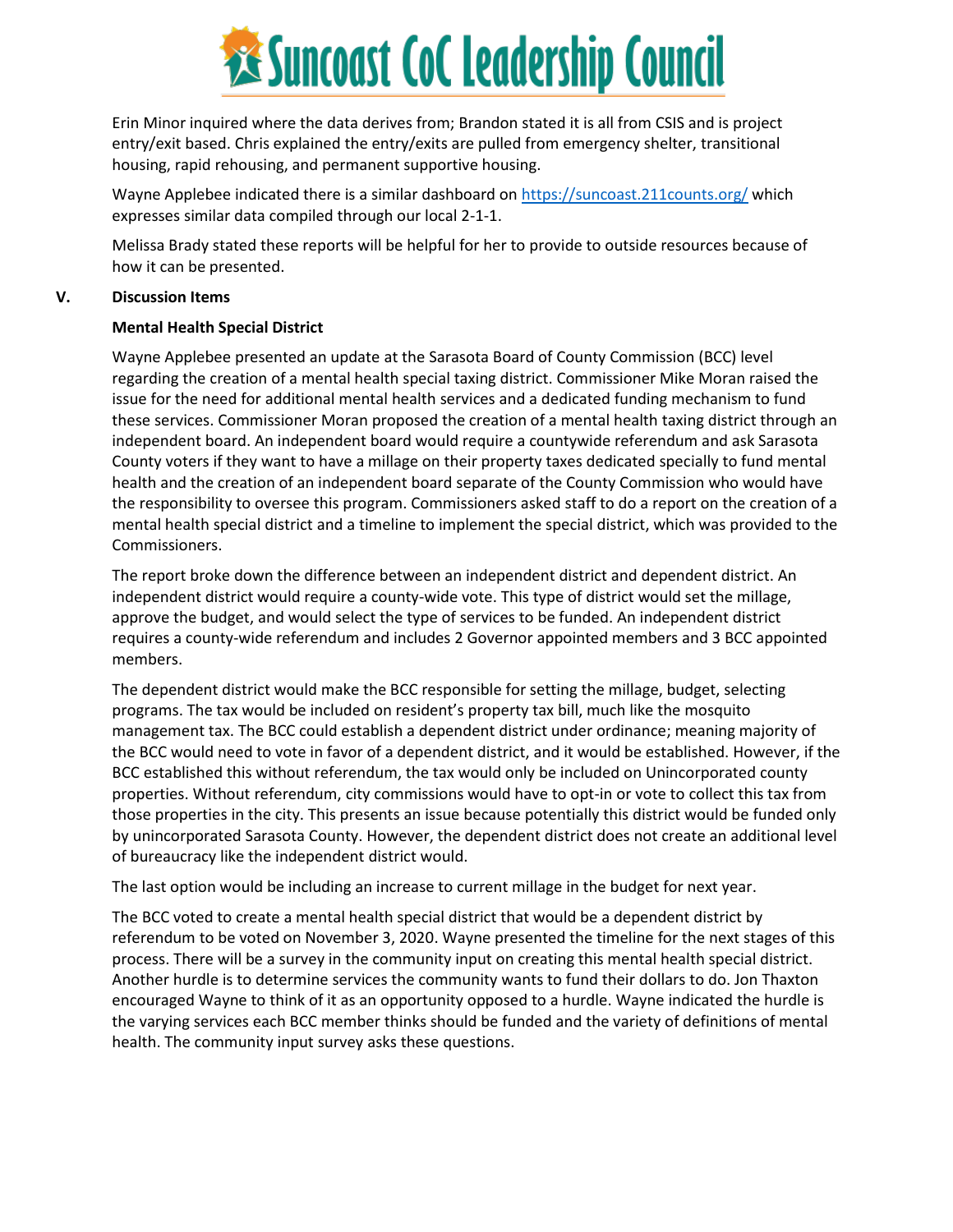

Erin Minor inquired where the data derives from; Brandon stated it is all from CSIS and is project entry/exit based. Chris explained the entry/exits are pulled from emergency shelter, transitional housing, rapid rehousing, and permanent supportive housing.

Wayne Applebee indicated there is a similar dashboard on<https://suncoast.211counts.org/> which expresses similar data compiled through our local 2-1-1.

Melissa Brady stated these reports will be helpful for her to provide to outside resources because of how it can be presented.

#### **V. Discussion Items**

#### **Mental Health Special District**

Wayne Applebee presented an update at the Sarasota Board of County Commission (BCC) level regarding the creation of a mental health special taxing district. Commissioner Mike Moran raised the issue for the need for additional mental health services and a dedicated funding mechanism to fund these services. Commissioner Moran proposed the creation of a mental health taxing district through an independent board. An independent board would require a countywide referendum and ask Sarasota County voters if they want to have a millage on their property taxes dedicated specially to fund mental health and the creation of an independent board separate of the County Commission who would have the responsibility to oversee this program. Commissioners asked staff to do a report on the creation of a mental health special district and a timeline to implement the special district, which was provided to the Commissioners.

The report broke down the difference between an independent district and dependent district. An independent district would require a county-wide vote. This type of district would set the millage, approve the budget, and would select the type of services to be funded. An independent district requires a county-wide referendum and includes 2 Governor appointed members and 3 BCC appointed members.

The dependent district would make the BCC responsible for setting the millage, budget, selecting programs. The tax would be included on resident's property tax bill, much like the mosquito management tax. The BCC could establish a dependent district under ordinance; meaning majority of the BCC would need to vote in favor of a dependent district, and it would be established. However, if the BCC established this without referendum, the tax would only be included on Unincorporated county properties. Without referendum, city commissions would have to opt-in or vote to collect this tax from those properties in the city. This presents an issue because potentially this district would be funded only by unincorporated Sarasota County. However, the dependent district does not create an additional level of bureaucracy like the independent district would.

The last option would be including an increase to current millage in the budget for next year.

The BCC voted to create a mental health special district that would be a dependent district by referendum to be voted on November 3, 2020. Wayne presented the timeline for the next stages of this process. There will be a survey in the community input on creating this mental health special district. Another hurdle is to determine services the community wants to fund their dollars to do. Jon Thaxton encouraged Wayne to think of it as an opportunity opposed to a hurdle. Wayne indicated the hurdle is the varying services each BCC member thinks should be funded and the variety of definitions of mental health. The community input survey asks these questions.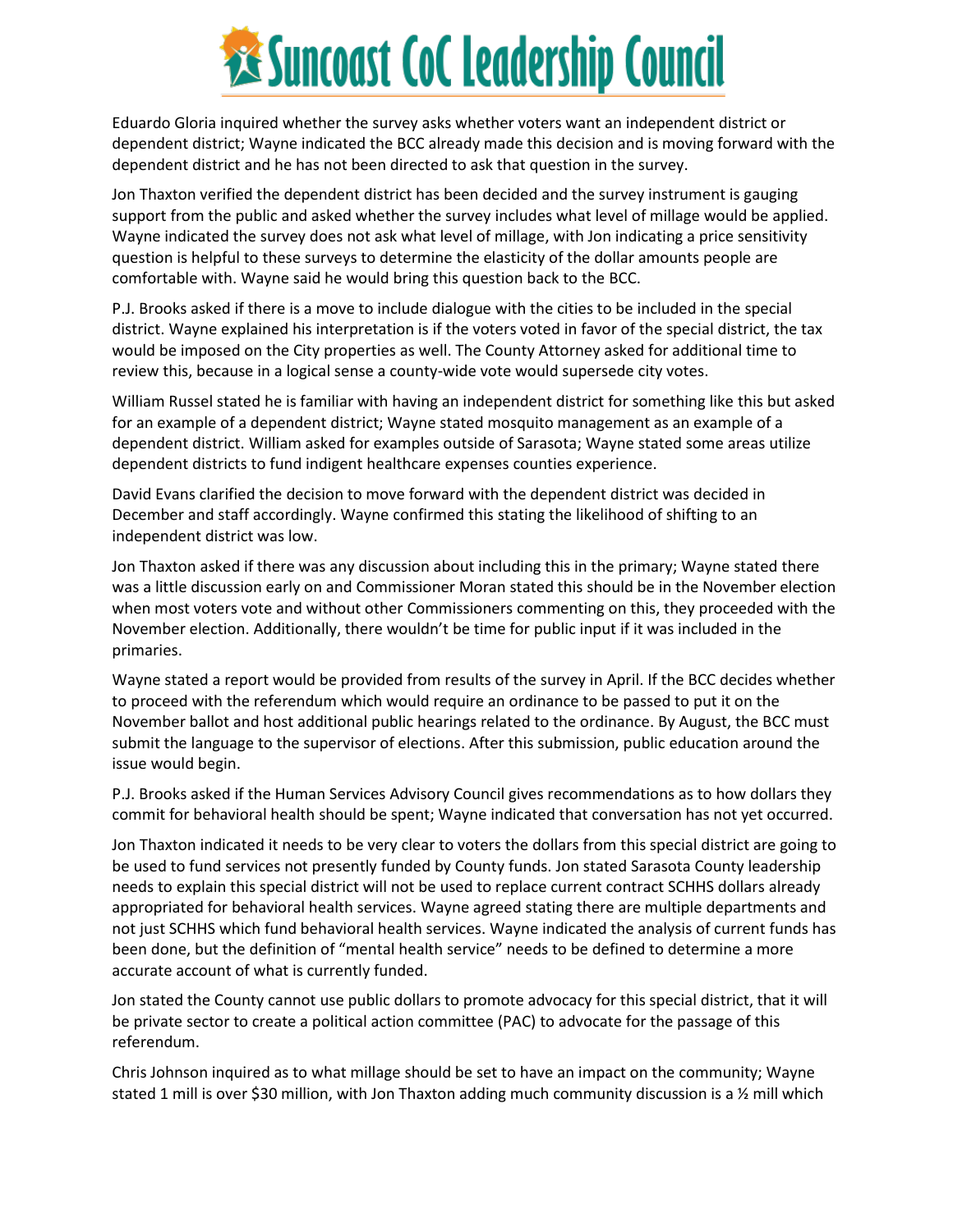

Eduardo Gloria inquired whether the survey asks whether voters want an independent district or dependent district; Wayne indicated the BCC already made this decision and is moving forward with the dependent district and he has not been directed to ask that question in the survey.

Jon Thaxton verified the dependent district has been decided and the survey instrument is gauging support from the public and asked whether the survey includes what level of millage would be applied. Wayne indicated the survey does not ask what level of millage, with Jon indicating a price sensitivity question is helpful to these surveys to determine the elasticity of the dollar amounts people are comfortable with. Wayne said he would bring this question back to the BCC.

P.J. Brooks asked if there is a move to include dialogue with the cities to be included in the special district. Wayne explained his interpretation is if the voters voted in favor of the special district, the tax would be imposed on the City properties as well. The County Attorney asked for additional time to review this, because in a logical sense a county-wide vote would supersede city votes.

William Russel stated he is familiar with having an independent district for something like this but asked for an example of a dependent district; Wayne stated mosquito management as an example of a dependent district. William asked for examples outside of Sarasota; Wayne stated some areas utilize dependent districts to fund indigent healthcare expenses counties experience.

David Evans clarified the decision to move forward with the dependent district was decided in December and staff accordingly. Wayne confirmed this stating the likelihood of shifting to an independent district was low.

Jon Thaxton asked if there was any discussion about including this in the primary; Wayne stated there was a little discussion early on and Commissioner Moran stated this should be in the November election when most voters vote and without other Commissioners commenting on this, they proceeded with the November election. Additionally, there wouldn't be time for public input if it was included in the primaries.

Wayne stated a report would be provided from results of the survey in April. If the BCC decides whether to proceed with the referendum which would require an ordinance to be passed to put it on the November ballot and host additional public hearings related to the ordinance. By August, the BCC must submit the language to the supervisor of elections. After this submission, public education around the issue would begin.

P.J. Brooks asked if the Human Services Advisory Council gives recommendations as to how dollars they commit for behavioral health should be spent; Wayne indicated that conversation has not yet occurred.

Jon Thaxton indicated it needs to be very clear to voters the dollars from this special district are going to be used to fund services not presently funded by County funds. Jon stated Sarasota County leadership needs to explain this special district will not be used to replace current contract SCHHS dollars already appropriated for behavioral health services. Wayne agreed stating there are multiple departments and not just SCHHS which fund behavioral health services. Wayne indicated the analysis of current funds has been done, but the definition of "mental health service" needs to be defined to determine a more accurate account of what is currently funded.

Jon stated the County cannot use public dollars to promote advocacy for this special district, that it will be private sector to create a political action committee (PAC) to advocate for the passage of this referendum.

Chris Johnson inquired as to what millage should be set to have an impact on the community; Wayne stated 1 mill is over \$30 million, with Jon Thaxton adding much community discussion is a  $\frac{1}{2}$  mill which